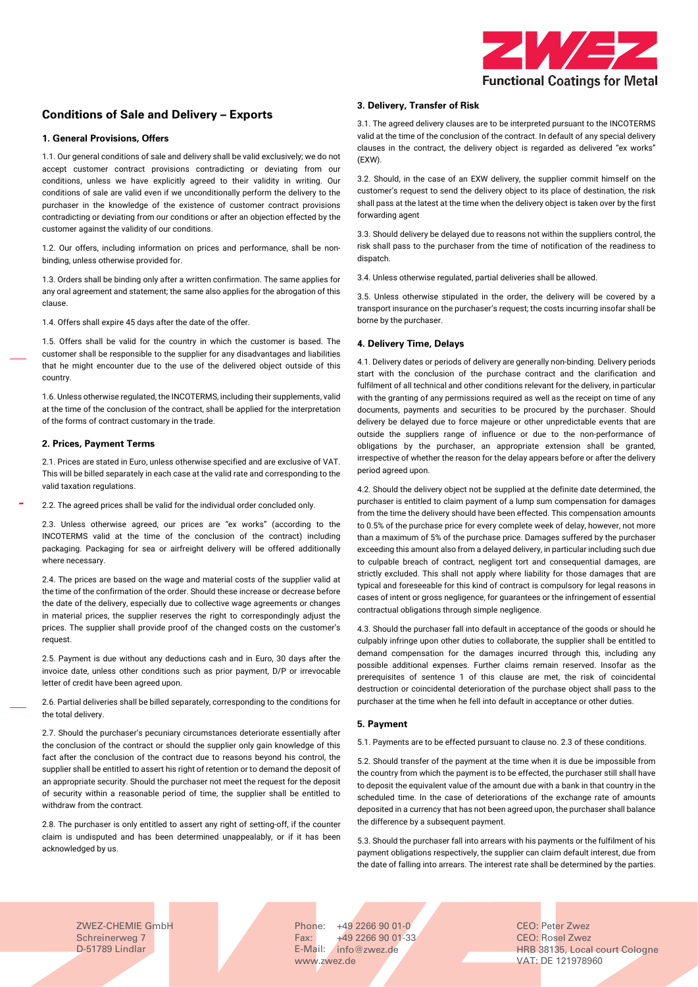

# **Conditions of Sale and Delivery – Exports**

## **1. General Provisions, Offers**

1.1. Our general conditions of sale and delivery shall be valid exclusively; we do not accept customer contract provisions contradicting or deviating from our conditions, unless we have explicitly agreed to their validity in writing. Our conditions of sale are valid even if we unconditionally perform the delivery to the purchaser in the knowledge of the existence of customer contract provisions contradicting or deviating from our conditions or after an objection effected by the customer against the validity of our conditions.

1.2. Our offers, including information on prices and performance, shall be nonbinding, unless otherwise provided for.

1.3. Orders shall be binding only after a written confirmation. The same applies for any oral agreement and statement; the same also applies for the abrogation of this clause.

1.4. Offers shall expire 45 days after the date of the offer.

1.5. Offers shall be valid for the country in which the customer is based. The customer shall be responsible to the supplier for any disadvantages and liabilities that he might encounter due to the use of the delivered object outside of this country.

1.6. Unless otherwise regulated, the INCOTERMS, including their supplements, valid at the time of the conclusion of the contract, shall be applied for the interpretation of the forms of contract customary in the trade.

# **2. Prices, Payment Terms**

2.1. Prices are stated in Euro, unless otherwise specified and are exclusive of VAT. This will be billed separately in each case at the valid rate and corresponding to the valid taxation regulations.

2.2. The agreed prices shall be valid for the individual order concluded only.

2.3. Unless otherwise agreed, our prices are "ex works" (according to the INCOTERMS valid at the time of the conclusion of the contract) including packaging. Packaging for sea or airfreight delivery will be offered additionally where necessary.

2.4. The prices are based on the wage and material costs of the supplier valid at the time of the confirmation of the order. Should these increase or decrease before the date of the delivery, especially due to collective wage agreements or changes in material prices, the supplier reserves the right to correspondingly adjust the prices. The supplier shall provide proof of the changed costs on the customer's request.

2.5. Payment is due without any deductions cash and in Euro, 30 days after the invoice date, unless other conditions such as prior payment, D/P or irrevocable letter of credit have been agreed upon.

2.6. Partial deliveries shall be billed separately, corresponding to the conditions for the total delivery.

2.7. Should the purchaser's pecuniary circumstances deteriorate essentially after the conclusion of the contract or should the supplier only gain knowledge of this fact after the conclusion of the contract due to reasons beyond his control, the supplier shall be entitled to assert his right of retention or to demand the deposit of an appropriate security. Should the purchaser not meet the request for the deposit of security within a reasonable period of time, the supplier shall be entitled to withdraw from the contract.

2.8. The purchaser is only entitled to assert any right of setting-off, if the counter claim is undisputed and has been determined unappealably, or if it has been acknowledged by us.

## **3. Delivery, Transfer of Risk**

3.1. The agreed delivery clauses are to be interpreted pursuant to the INCOTERMS valid at the time of the conclusion of the contract. In default of any special delivery clauses in the contract, the delivery object is regarded as delivered "ex works" (EXW).

3.2. Should, in the case of an EXW delivery, the supplier commit himself on the customer's request to send the delivery object to its place of destination, the risk shall pass at the latest at the time when the delivery object is taken over by the first forwarding agent

3.3. Should delivery be delayed due to reasons not within the suppliers control, the risk shall pass to the purchaser from the time of notification of the readiness to dispatch.

3.4. Unless otherwise regulated, partial deliveries shall be allowed.

3.5. Unless otherwise stipulated in the order, the delivery will be covered by a transport insurance on the purchaser's request; the costs incurring insofar shall be borne by the purchaser.

#### **4. Delivery Time, Delays**

4.1. Delivery dates or periods of delivery are generally non-binding. Delivery periods start with the conclusion of the purchase contract and the clarification and fulfilment of all technical and other conditions relevant for the delivery, in particular with the granting of any permissions required as well as the receipt on time of any documents, payments and securities to be procured by the purchaser. Should delivery be delayed due to force majeure or other unpredictable events that are outside the suppliers range of influence or due to the non-performance of obligations by the purchaser, an appropriate extension shall be granted, irrespective of whether the reason for the delay appears before or after the delivery period agreed upon.

4.2. Should the delivery object not be supplied at the definite date determined, the purchaser is entitled to claim payment of a lump sum compensation for damages from the time the delivery should have been effected. This compensation amounts to 0.5% of the purchase price for every complete week of delay, however, not more than a maximum of 5% of the purchase price. Damages suffered by the purchaser exceeding this amount also from a delayed delivery, in particular including such due to culpable breach of contract, negligent tort and consequential damages, are strictly excluded. This shall not apply where liability for those damages that are typical and foreseeable for this kind of contract is compulsory for legal reasons in cases of intent or gross negligence, for guarantees or the infringement of essential contractual obligations through simple negligence.

4.3. Should the purchaser fall into default in acceptance of the goods or should he culpably infringe upon other duties to collaborate, the supplier shall be entitled to demand compensation for the damages incurred through this, including any possible additional expenses. Further claims remain reserved. Insofar as the prerequisites of sentence 1 of this clause are met, the risk of coincidental destruction or coincidental deterioration of the purchase object shall pass to the purchaser at the time when he fell into default in acceptance or other duties.

## **5. Payment**

5.1. Payments are to be effected pursuant to clause no. 2.3 of these conditions.

5.2. Should transfer of the payment at the time when it is due be impossible from the country from which the payment is to be effected, the purchaser still shall have to deposit the equivalent value of the amount due with a bank in that country in the scheduled time. In the case of deteriorations of the exchange rate of amounts deposited in a currency that has not been agreed upon, the purchaser shall balance the difference by a subsequent payment.

5.3. Should the purchaser fall into arrears with his payments or the fulfilment of his payment obligations respectively, the supplier can claim default interest, due from the date of falling into arrears. The interest rate shall be determined by the parties.

ZWEZ-CHEMIE GmbH Schreinerweg 7 D-51789 Lindlar

Phone: +49 2266 90 01-0 Fax: E-Mail: [info@zwez.de](mailto:info@zwez.de) +49 2266 90 01-33 [www.zwez.de](http://www.zwez.de/) VAT: DE 121978960

CEO: Peter Zwez CEO: Rosel Zwez HRB 38135, Local court Cologne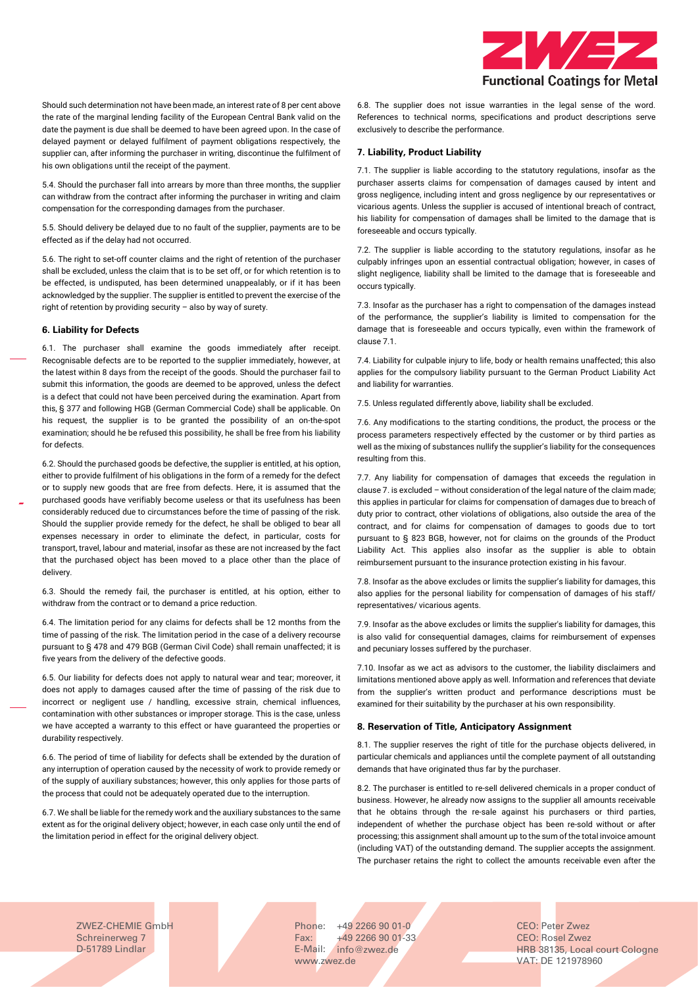

Should such determination not have been made, an interest rate of 8 per cent above the rate of the marginal lending facility of the European Central Bank valid on the date the payment is due shall be deemed to have been agreed upon. In the case of delayed payment or delayed fulfilment of payment obligations respectively, the supplier can, after informing the purchaser in writing, discontinue the fulfilment of his own obligations until the receipt of the payment.

5.4. Should the purchaser fall into arrears by more than three months, the supplier can withdraw from the contract after informing the purchaser in writing and claim compensation for the corresponding damages from the purchaser.

5.5. Should delivery be delayed due to no fault of the supplier, payments are to be effected as if the delay had not occurred.

5.6. The right to set-off counter claims and the right of retention of the purchaser shall be excluded, unless the claim that is to be set off, or for which retention is to be effected, is undisputed, has been determined unappealably, or if it has been acknowledged by the supplier. The supplier is entitled to prevent the exercise of the right of retention by providing security – also by way of surety.

### **6. Liability for Defects**

6.1. The purchaser shall examine the goods immediately after receipt. Recognisable defects are to be reported to the supplier immediately, however, at the latest within 8 days from the receipt of the goods. Should the purchaser fail to submit this information, the goods are deemed to be approved, unless the defect is a defect that could not have been perceived during the examination. Apart from this, § 377 and following HGB (German Commercial Code) shall be applicable. On his request, the supplier is to be granted the possibility of an on-the-spot examination; should he be refused this possibility, he shall be free from his liability for defects.

6.2. Should the purchased goods be defective, the supplier is entitled, at his option, either to provide fulfilment of his obligations in the form of a remedy for the defect or to supply new goods that are free from defects. Here, it is assumed that the purchased goods have verifiably become useless or that its usefulness has been considerably reduced due to circumstances before the time of passing of the risk. Should the supplier provide remedy for the defect, he shall be obliged to bear all expenses necessary in order to eliminate the defect, in particular, costs for transport, travel, labour and material, insofar as these are not increased by the fact that the purchased object has been moved to a place other than the place of delivery.

6.3. Should the remedy fail, the purchaser is entitled, at his option, either to withdraw from the contract or to demand a price reduction.

6.4. The limitation period for any claims for defects shall be 12 months from the time of passing of the risk. The limitation period in the case of a delivery recourse pursuant to § 478 and 479 BGB (German Civil Code) shall remain unaffected; it is five years from the delivery of the defective goods.

6.5. Our liability for defects does not apply to natural wear and tear; moreover, it does not apply to damages caused after the time of passing of the risk due to incorrect or negligent use / handling, excessive strain, chemical influences, contamination with other substances or improper storage. This is the case, unless we have accepted a warranty to this effect or have guaranteed the properties or durability respectively.

6.6. The period of time of liability for defects shall be extended by the duration of any interruption of operation caused by the necessity of work to provide remedy or of the supply of auxiliary substances; however, this only applies for those parts of the process that could not be adequately operated due to the interruption.

6.7. We shall be liable for the remedy work and the auxiliary substances to the same extent as for the original delivery object; however, in each case only until the end of the limitation period in effect for the original delivery object.

6.8. The supplier does not issue warranties in the legal sense of the word. References to technical norms, specifications and product descriptions serve exclusively to describe the performance.

## **7. Liability, Product Liability**

7.1. The supplier is liable according to the statutory regulations, insofar as the purchaser asserts claims for compensation of damages caused by intent and gross negligence, including intent and gross negligence by our representatives or vicarious agents. Unless the supplier is accused of intentional breach of contract, his liability for compensation of damages shall be limited to the damage that is foreseeable and occurs typically.

7.2. The supplier is liable according to the statutory regulations, insofar as he culpably infringes upon an essential contractual obligation; however, in cases of slight negligence, liability shall be limited to the damage that is foreseeable and occurs typically.

7.3. Insofar as the purchaser has a right to compensation of the damages instead of the performance, the supplier's liability is limited to compensation for the damage that is foreseeable and occurs typically, even within the framework of clause 7.1.

7.4. Liability for culpable injury to life, body or health remains unaffected; this also applies for the compulsory liability pursuant to the German Product Liability Act and liability for warranties.

7.5. Unless regulated differently above, liability shall be excluded.

7.6. Any modifications to the starting conditions, the product, the process or the process parameters respectively effected by the customer or by third parties as well as the mixing of substances nullify the supplier's liability for the consequences resulting from this.

7.7. Any liability for compensation of damages that exceeds the regulation in clause 7. is excluded – without consideration of the legal nature of the claim made; this applies in particular for claims for compensation of damages due to breach of duty prior to contract, other violations of obligations, also outside the area of the contract, and for claims for compensation of damages to goods due to tort pursuant to § 823 BGB, however, not for claims on the grounds of the Product Liability Act. This applies also insofar as the supplier is able to obtain reimbursement pursuant to the insurance protection existing in his favour.

7.8. Insofar as the above excludes or limits the supplier's liability for damages, this also applies for the personal liability for compensation of damages of his staff/ representatives/ vicarious agents.

7.9. Insofar as the above excludes or limits the supplier's liability for damages, this is also valid for consequential damages, claims for reimbursement of expenses and pecuniary losses suffered by the purchaser.

7.10. Insofar as we act as advisors to the customer, the liability disclaimers and limitations mentioned above apply as well. Information and references that deviate from the supplier's written product and performance descriptions must be examined for their suitability by the purchaser at his own responsibility.

## **8. Reservation of Title, Anticipatory Assignment**

8.1. The supplier reserves the right of title for the purchase objects delivered, in particular chemicals and appliances until the complete payment of all outstanding demands that have originated thus far by the purchaser.

8.2. The purchaser is entitled to re-sell delivered chemicals in a proper conduct of business. However, he already now assigns to the supplier all amounts receivable that he obtains through the re-sale against his purchasers or third parties, independent of whether the purchase object has been re-sold without or after processing; this assignment shall amount up to the sum of the total invoice amount (including VAT) of the outstanding demand. The supplier accepts the assignment. The purchaser retains the right to collect the amounts receivable even after the

ZWEZ-CHEMIE GmbH Schreinerweg 7 D-51789 Lindlar

Phone: +49 2266 90 01-0 Fax: E-Mail: [info@zwez.de](mailto:info@zwez.de) +49 2266 90 01-33 [www.zwez.de](http://www.zwez.de/) VAT: DE 121978960

CEO: Peter Zwez CEO: Rosel Zwez HRB 38135, Local court Cologne